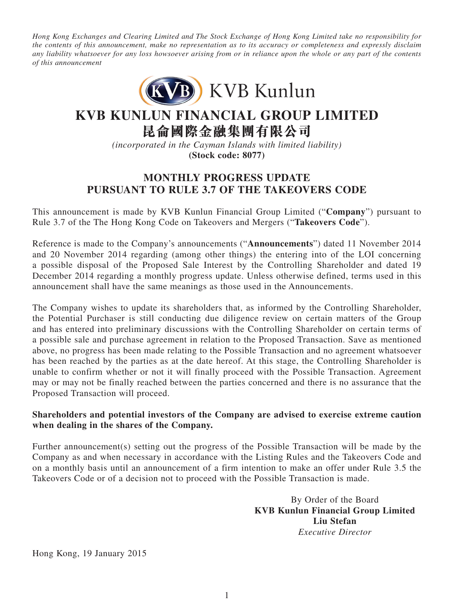*Hong Kong Exchanges and Clearing Limited and The Stock Exchange of Hong Kong Limited take no responsibility for the contents of this announcement, make no representation as to its accuracy or completeness and expressly disclaim any liability whatsoever for any loss howsoever arising from or in reliance upon the whole or any part of the contents of this announcement*



## **KVB KUNLUN FINANCIAL GROUP LIMITED**

**昆侖國際金融集團有限公司**

*(incorporated in the Cayman Islands with limited liability)* **(Stock code: 8077)**

## **Monthly progress update pursuant to Rule 3.7 of the Takeovers Code**

This announcement is made by KVB Kunlun Financial Group Limited ("**Company**") pursuant to Rule 3.7 of the The Hong Kong Code on Takeovers and Mergers ("**Takeovers Code**").

Reference is made to the Company's announcements ("**Announcements**") dated 11 November 2014 and 20 November 2014 regarding (among other things) the entering into of the LOI concerning a possible disposal of the Proposed Sale Interest by the Controlling Shareholder and dated 19 December 2014 regarding a monthly progress update. Unless otherwise defined, terms used in this announcement shall have the same meanings as those used in the Announcements.

The Company wishes to update its shareholders that, as informed by the Controlling Shareholder, the Potential Purchaser is still conducting due diligence review on certain matters of the Group and has entered into preliminary discussions with the Controlling Shareholder on certain terms of a possible sale and purchase agreement in relation to the Proposed Transaction. Save as mentioned above, no progress has been made relating to the Possible Transaction and no agreement whatsoever has been reached by the parties as at the date hereof. At this stage, the Controlling Shareholder is unable to confirm whether or not it will finally proceed with the Possible Transaction. Agreement may or may not be finally reached between the parties concerned and there is no assurance that the Proposed Transaction will proceed.

## **Shareholders and potential investors of the Company are advised to exercise extreme caution when dealing in the shares of the Company.**

Further announcement(s) setting out the progress of the Possible Transaction will be made by the Company as and when necessary in accordance with the Listing Rules and the Takeovers Code and on a monthly basis until an announcement of a firm intention to make an offer under Rule 3.5 the Takeovers Code or of a decision not to proceed with the Possible Transaction is made.

> By Order of the Board **KVB Kunlun Financial Group Limited Liu Stefan** *Executive Director*

Hong Kong, 19 January 2015